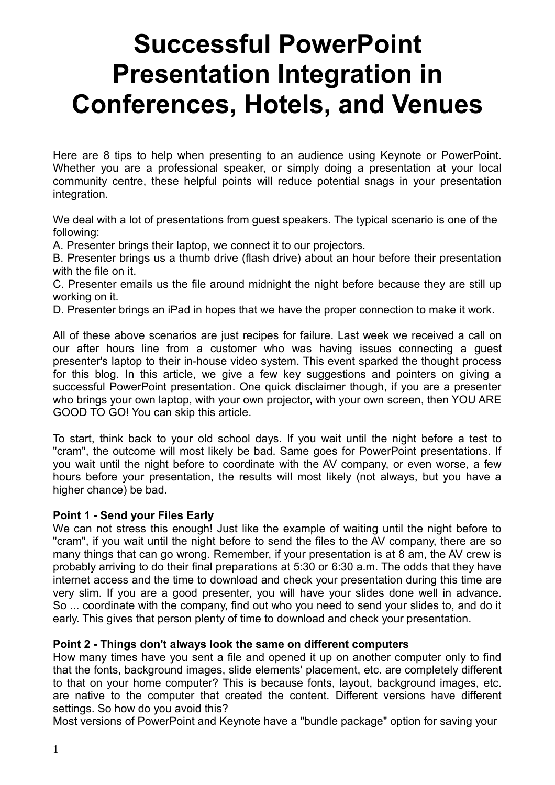# **Successful PowerPoint Presentation Integration in Conferences, Hotels, and Venues**

Here are 8 tips to help when presenting to an audience using Keynote or PowerPoint. Whether you are a professional speaker, or simply doing a presentation at your local community centre, these helpful points will reduce potential snags in your presentation integration.

We deal with a lot of presentations from guest speakers. The typical scenario is one of the following:

A. Presenter brings their laptop, we connect it to our projectors.

B. Presenter brings us a thumb drive (flash drive) about an hour before their presentation with the file on it.

C. Presenter emails us the file around midnight the night before because they are still up working on it.

D. Presenter brings an iPad in hopes that we have the proper connection to make it work.

All of these above scenarios are just recipes for failure. Last week we received a call on our after hours line from a customer who was having issues connecting a guest presenter's laptop to their in-house video system. This event sparked the thought process for this blog. In this article, we give a few key suggestions and pointers on giving a successful PowerPoint presentation. One quick disclaimer though, if you are a presenter who brings your own laptop, with your own projector, with your own screen, then YOU ARE GOOD TO GO! You can skip this article.

To start, think back to your old school days. If you wait until the night before a test to "cram", the outcome will most likely be bad. Same goes for PowerPoint presentations. If you wait until the night before to coordinate with the AV company, or even worse, a few hours before your presentation, the results will most likely (not always, but you have a higher chance) be bad.

#### **Point 1 - Send your Files Early**

We can not stress this enough! Just like the example of waiting until the night before to "cram", if you wait until the night before to send the files to the AV company, there are so many things that can go wrong. Remember, if your presentation is at 8 am, the AV crew is probably arriving to do their final preparations at 5:30 or 6:30 a.m. The odds that they have internet access and the time to download and check your presentation during this time are very slim. If you are a good presenter, you will have your slides done well in advance. So ... coordinate with the company, find out who you need to send your slides to, and do it early. This gives that person plenty of time to download and check your presentation.

# **Point 2 - Things don't always look the same on different computers**

How many times have you sent a file and opened it up on another computer only to find that the fonts, background images, slide elements' placement, etc. are completely different to that on your home computer? This is because fonts, layout, background images, etc. are native to the computer that created the content. Different versions have different settings. So how do you avoid this?

Most versions of PowerPoint and Keynote have a "bundle package" option for saving your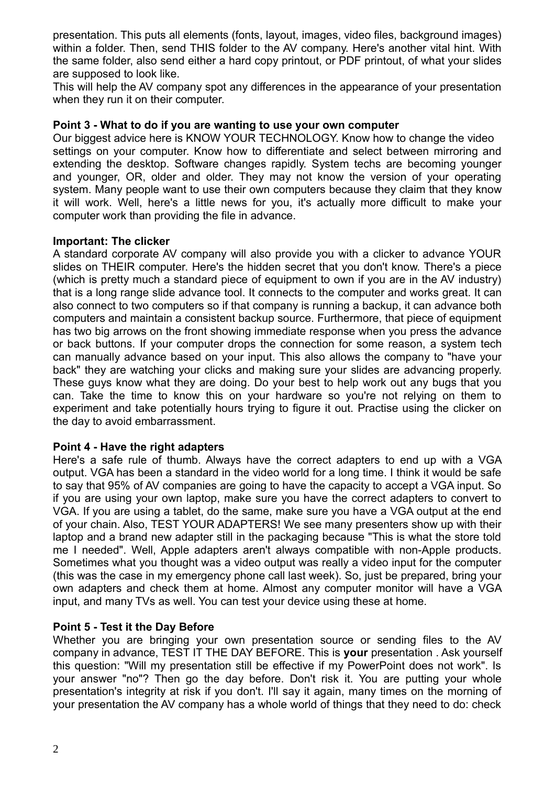presentation. This puts all elements (fonts, layout, images, video files, background images) within a folder. Then, send THIS folder to the AV company. Here's another vital hint. With the same folder, also send either a hard copy printout, or PDF printout, of what your slides are supposed to look like.

This will help the AV company spot any differences in the appearance of your presentation when they run it on their computer.

# **Point 3 - What to do if you are wanting to use your own computer**

Our biggest advice here is KNOW YOUR TECHNOLOGY. Know how to change the video settings on your computer. Know how to differentiate and select between mirroring and extending the desktop. Software changes rapidly. System techs are becoming younger and younger, OR, older and older. They may not know the version of your operating system. Many people want to use their own computers because they claim that they know it will work. Well, here's a little news for you, it's actually more difficult to make your computer work than providing the file in advance.

### **Important: The clicker**

A standard corporate AV company will also provide you with a clicker to advance YOUR slides on THEIR computer. Here's the hidden secret that you don't know. There's a piece (which is pretty much a standard piece of equipment to own if you are in the AV industry) that is a long range slide advance tool. It connects to the computer and works great. It can also connect to two computers so if that company is running a backup, it can advance both computers and maintain a consistent backup source. Furthermore, that piece of equipment has two big arrows on the front showing immediate response when you press the advance or back buttons. If your computer drops the connection for some reason, a system tech can manually advance based on your input. This also allows the company to "have your back" they are watching your clicks and making sure your slides are advancing properly. These guys know what they are doing. Do your best to help work out any bugs that you can. Take the time to know this on your hardware so you're not relying on them to experiment and take potentially hours trying to figure it out. Practise using the clicker on the day to avoid embarrassment.

# **Point 4 - Have the right adapters**

Here's a safe rule of thumb. Always have the correct adapters to end up with a VGA output. VGA has been a standard in the video world for a long time. I think it would be safe to say that 95% of AV companies are going to have the capacity to accept a VGA input. So if you are using your own laptop, make sure you have the correct adapters to convert to VGA. If you are using a tablet, do the same, make sure you have a VGA output at the end of your chain. Also, TEST YOUR ADAPTERS! We see many presenters show up with their laptop and a brand new adapter still in the packaging because "This is what the store told me I needed". Well, Apple adapters aren't always compatible with non-Apple products. Sometimes what you thought was a video output was really a video input for the computer (this was the case in my emergency phone call last week). So, just be prepared, bring your own adapters and check them at home. Almost any computer monitor will have a VGA input, and many TVs as well. You can test your device using these at home.

# **Point 5 - Test it the Day Before**

Whether you are bringing your own presentation source or sending files to the AV company in advance, TEST IT THE DAY BEFORE. This is **your** presentation . Ask yourself this question: "Will my presentation still be effective if my PowerPoint does not work". Is your answer "no"? Then go the day before. Don't risk it. You are putting your whole presentation's integrity at risk if you don't. I'll say it again, many times on the morning of your presentation the AV company has a whole world of things that they need to do: check